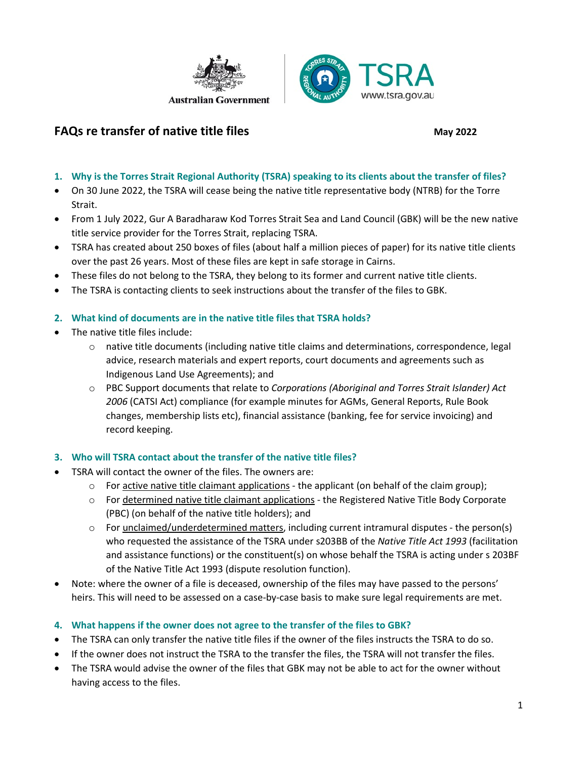

## **FAQs re transfer of native title files** May 2022

- **1. Why is the Torres Strait Regional Authority (TSRA) speaking to its clients about the transfer of files?**
- On 30 June 2022, the TSRA will cease being the native title representative body (NTRB) for the Torre Strait.
- From 1 July 2022, Gur A Baradharaw Kod Torres Strait Sea and Land Council (GBK) will be the new native title service provider for the Torres Strait, replacing TSRA.
- TSRA has created about 250 boxes of files (about half a million pieces of paper) for its native title clients over the past 26 years. Most of these files are kept in safe storage in Cairns.
- These files do not belong to the TSRA, they belong to its former and current native title clients.
- The TSRA is contacting clients to seek instructions about the transfer of the files to GBK.

#### **2. What kind of documents are in the native title files that TSRA holds?**

- The native title files include:
	- o native title documents (including native title claims and determinations, correspondence, legal advice, research materials and expert reports, court documents and agreements such as Indigenous Land Use Agreements); and
	- o PBC Support documents that relate to *Corporations (Aboriginal and Torres Strait Islander) Act 2006* (CATSI Act) compliance (for example minutes for AGMs, General Reports, Rule Book changes, membership lists etc), financial assistance (banking, fee for service invoicing) and record keeping.
- **3. Who will TSRA contact about the transfer of the native title files?**
- TSRA will contact the owner of the files. The owners are:
	- $\circ$  For active native title claimant applications the applicant (on behalf of the claim group);
	- o For determined native title claimant applications the Registered Native Title Body Corporate (PBC) (on behalf of the native title holders); and
	- $\circ$  For unclaimed/underdetermined matters, including current intramural disputes the person(s) who requested the assistance of the TSRA under s203BB of the *Native Title Act 1993* (facilitation and assistance functions) or the constituent(s) on whose behalf the TSRA is acting under s 203BF of the Native Title Act 1993 (dispute resolution function).
- Note: where the owner of a file is deceased, ownership of the files may have passed to the persons' heirs. This will need to be assessed on a case-by-case basis to make sure legal requirements are met.
- **4. What happens if the owner does not agree to the transfer of the files to GBK?**
- The TSRA can only transfer the native title files if the owner of the files instructs the TSRA to do so.
- If the owner does not instruct the TSRA to the transfer the files, the TSRA will not transfer the files.
- The TSRA would advise the owner of the files that GBK may not be able to act for the owner without having access to the files.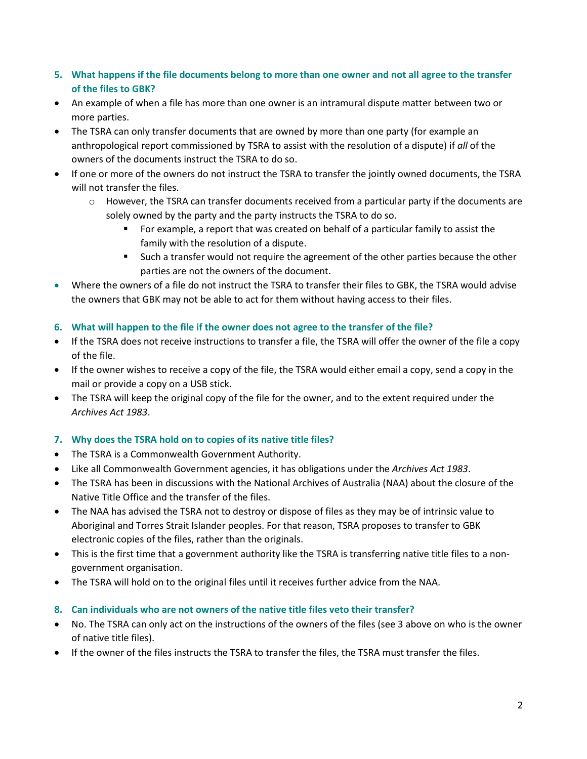- **5. What happens if the file documents belong to more than one owner and not all agree to the transfer of the files to GBK?**
- An example of when a file has more than one owner is an intramural dispute matter between two or more parties.
- The TSRA can only transfer documents that are owned by more than one party (for example an anthropological report commissioned by TSRA to assist with the resolution of a dispute) if *all* of the owners of the documents instruct the TSRA to do so.
- If one or more of the owners do not instruct the TSRA to transfer the jointly owned documents, the TSRA will not transfer the files.
	- $\circ$  However, the TSRA can transfer documents received from a particular party if the documents are solely owned by the party and the party instructs the TSRA to do so.
		- For example, a report that was created on behalf of a particular family to assist the family with the resolution of a dispute.
		- Such a transfer would not require the agreement of the other parties because the other parties are not the owners of the document.
- Where the owners of a file do not instruct the TSRA to transfer their files to GBK, the TSRA would advise the owners that GBK may not be able to act for them without having access to their files.
- **6. What will happen to the file if the owner does not agree to the transfer of the file?**
- If the TSRA does not receive instructions to transfer a file, the TSRA will offer the owner of the file a copy of the file.
- If the owner wishes to receive a copy of the file, the TSRA would either email a copy, send a copy in the mail or provide a copy on a USB stick.
- The TSRA will keep the original copy of the file for the owner, and to the extent required under the *Archives Act 1983*.

### **7. Why does the TSRA hold on to copies of its native title files?**

- The TSRA is a Commonwealth Government Authority.
- Like all Commonwealth Government agencies, it has obligations under the *Archives Act 1983*.
- The TSRA has been in discussions with the National Archives of Australia (NAA) about the closure of the Native Title Office and the transfer of the files.
- The NAA has advised the TSRA not to destroy or dispose of files as they may be of intrinsic value to Aboriginal and Torres Strait Islander peoples. For that reason, TSRA proposes to transfer to GBK electronic copies of the files, rather than the originals.
- This is the first time that a government authority like the TSRA is transferring native title files to a nongovernment organisation.
- The TSRA will hold on to the original files until it receives further advice from the NAA.

### **8. Can individuals who are not owners of the native title files veto their transfer?**

- No. The TSRA can only act on the instructions of the owners of the files (see 3 above on who is the owner of native title files).
- If the owner of the files instructs the TSRA to transfer the files, the TSRA must transfer the files.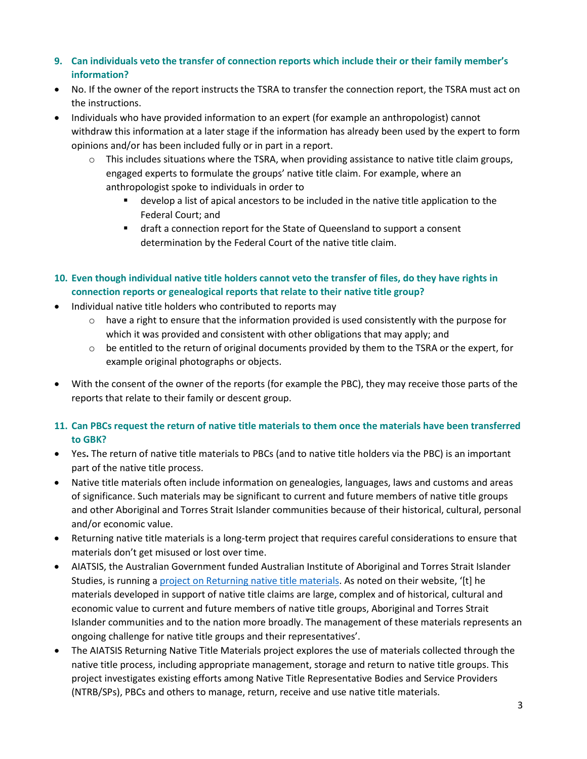- **9. Can individuals veto the transfer of connection reports which include their or their family member's information?**
- No. If the owner of the report instructs the TSRA to transfer the connection report, the TSRA must act on the instructions.
- Individuals who have provided information to an expert (for example an anthropologist) cannot withdraw this information at a later stage if the information has already been used by the expert to form opinions and/or has been included fully or in part in a report.
	- $\circ$  This includes situations where the TSRA, when providing assistance to native title claim groups, engaged experts to formulate the groups' native title claim. For example, where an anthropologist spoke to individuals in order to
		- develop a list of apical ancestors to be included in the native title application to the Federal Court; and
		- draft a connection report for the State of Queensland to support a consent determination by the Federal Court of the native title claim.
- **10. Even though individual native title holders cannot veto the transfer of files, do they have rights in connection reports or genealogical reports that relate to their native title group?**
- Individual native title holders who contributed to reports may
	- $\circ$  have a right to ensure that the information provided is used consistently with the purpose for which it was provided and consistent with other obligations that may apply; and
	- $\circ$  be entitled to the return of original documents provided by them to the TSRA or the expert, for example original photographs or objects.
- With the consent of the owner of the reports (for example the PBC), they may receive those parts of the reports that relate to their family or descent group.
- **11. Can PBCs request the return of native title materials to them once the materials have been transferred to GBK?**
- Yes**.** The return of native title materials to PBCs (and to native title holders via the PBC) is an important part of the native title process.
- Native title materials often include information on genealogies, languages, laws and customs and areas of significance. Such materials may be significant to current and future members of native title groups and other Aboriginal and Torres Strait Islander communities because of their historical, cultural, personal and/or economic value.
- Returning native title materials is a long-term project that requires careful considerations to ensure that materials don't get misused or lost over time.
- AIATSIS, the Australian Government funded Australian Institute of Aboriginal and Torres Strait Islander Studies, is running [a project on Returning native title materials.](https://aiatsis.gov.au/research/current-projects/returning-native-title-materials) As noted on their website, '[t] he materials developed in support of native title claims are large, complex and of historical, cultural and economic value to current and future members of native title groups, Aboriginal and Torres Strait Islander communities and to the nation more broadly. The management of these materials represents an ongoing challenge for native title groups and their representatives'.
- The AIATSIS Returning Native Title Materials project explores the use of materials collected through the native title process, including appropriate management, storage and return to native title groups. This project investigates existing efforts among Native Title Representative Bodies and Service Providers (NTRB/SPs), PBCs and others to manage, return, receive and use native title materials.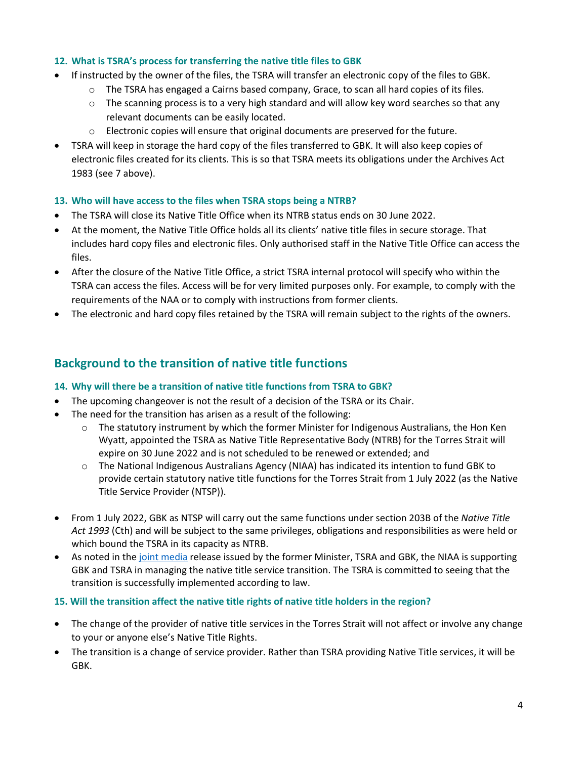#### **12. What is TSRA's process for transferring the native title files to GBK**

- If instructed by the owner of the files, the TSRA will transfer an electronic copy of the files to GBK.
	- o The TSRA has engaged a Cairns based company, Grace, to scan all hard copies of its files.
	- $\circ$  The scanning process is to a very high standard and will allow key word searches so that any relevant documents can be easily located.
	- o Electronic copies will ensure that original documents are preserved for the future.
- TSRA will keep in storage the hard copy of the files transferred to GBK. It will also keep copies of electronic files created for its clients. This is so that TSRA meets its obligations under the Archives Act 1983 (see 7 above).

### **13. Who will have access to the files when TSRA stops being a NTRB?**

- The TSRA will close its Native Title Office when its NTRB status ends on 30 June 2022.
- At the moment, the Native Title Office holds all its clients' native title files in secure storage. That includes hard copy files and electronic files. Only authorised staff in the Native Title Office can access the files.
- After the closure of the Native Title Office, a strict TSRA internal protocol will specify who within the TSRA can access the files. Access will be for very limited purposes only. For example, to comply with the requirements of the NAA or to comply with instructions from former clients.
- The electronic and hard copy files retained by the TSRA will remain subject to the rights of the owners.

# **Background to the transition of native title functions**

### **14. Why will there be a transition of native title functions from TSRA to GBK?**

- The upcoming changeover is not the result of a decision of the TSRA or its Chair.
- The need for the transition has arisen as a result of the following:
	- $\circ$  The statutory instrument by which the former Minister for Indigenous Australians, the Hon Ken Wyatt, appointed the TSRA as Native Title Representative Body (NTRB) for the Torres Strait will expire on 30 June 2022 and is not scheduled to be renewed or extended; and
	- o The National Indigenous Australians Agency (NIAA) has indicated its intention to fund GBK to provide certain statutory native title functions for the Torres Strait from 1 July 2022 (as the Native Title Service Provider (NTSP)).
- From 1 July 2022, GBK as NTSP will carry out the same functions under section 203B of the *Native Title Act 1993* (Cth) and will be subject to the same privileges, obligations and responsibilities as were held or which bound the TSRA in its capacity as NTRB.
- As noted in the [joint media](https://www.tsra.gov.au/news-and-resources/news/native-title-services-transition-from-tsra-to-gbk) release issued by the former Minister, TSRA and GBK, the NIAA is supporting GBK and TSRA in managing the native title service transition. The TSRA is committed to seeing that the transition is successfully implemented according to law.

### **15. Will the transition affect the native title rights of native title holders in the region?**

- The change of the provider of native title services in the Torres Strait will not affect or involve any change to your or anyone else's Native Title Rights.
- The transition is a change of service provider. Rather than TSRA providing Native Title services, it will be GBK.